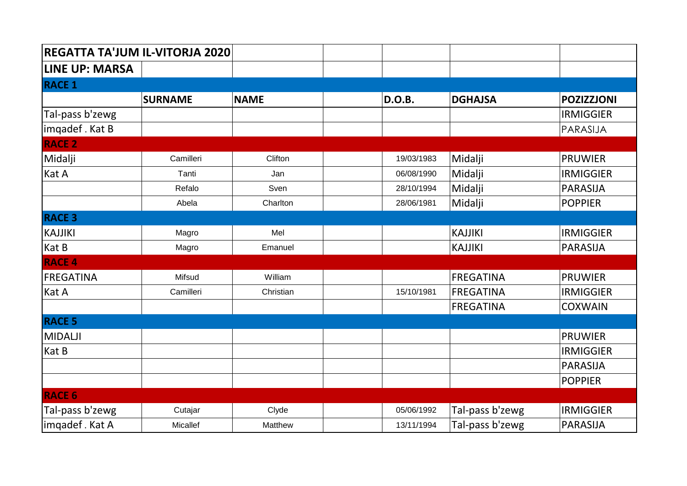| REGATTA TA'JUM IL-VITORJA 2020 |                |             |  |               |                  |                   |  |  |
|--------------------------------|----------------|-------------|--|---------------|------------------|-------------------|--|--|
| <b>LINE UP: MARSA</b>          |                |             |  |               |                  |                   |  |  |
| <b>RACE 1</b>                  |                |             |  |               |                  |                   |  |  |
|                                | <b>SURNAME</b> | <b>NAME</b> |  | <b>D.O.B.</b> | <b>DGHAJSA</b>   | <b>POZIZZJONI</b> |  |  |
| Tal-pass b'zewg                |                |             |  |               |                  | <b>IRMIGGIER</b>  |  |  |
| imqadef. Kat B                 |                |             |  |               |                  | PARASIJA          |  |  |
| <b>RACE 2</b>                  |                |             |  |               |                  |                   |  |  |
| Midalji                        | Camilleri      | Clifton     |  | 19/03/1983    | Midalji          | <b>PRUWIER</b>    |  |  |
| Kat A                          | Tanti          | Jan         |  | 06/08/1990    | Midalji          | <b>IRMIGGIER</b>  |  |  |
|                                | Refalo         | Sven        |  | 28/10/1994    | Midalji          | <b>PARASIJA</b>   |  |  |
|                                | Abela          | Charlton    |  | 28/06/1981    | Midalji          | <b>POPPIER</b>    |  |  |
| <b>RACE 3</b>                  |                |             |  |               |                  |                   |  |  |
| <b>KAJJIKI</b>                 | Magro          | Mel         |  |               | <b>KAJJIKI</b>   | <b>IRMIGGIER</b>  |  |  |
| Kat B                          | Magro          | Emanuel     |  |               | <b>KAJJIKI</b>   | <b>PARASIJA</b>   |  |  |
| <b>RACE 4</b>                  |                |             |  |               |                  |                   |  |  |
| FREGATINA                      | Mifsud         | William     |  |               | <b>FREGATINA</b> | <b>PRUWIER</b>    |  |  |
| Kat A                          | Camilleri      | Christian   |  | 15/10/1981    | <b>FREGATINA</b> | <b>IRMIGGIER</b>  |  |  |
|                                |                |             |  |               | <b>FREGATINA</b> | <b>COXWAIN</b>    |  |  |
| <b>RACE 5</b>                  |                |             |  |               |                  |                   |  |  |
| <b>MIDALJI</b>                 |                |             |  |               |                  | <b>PRUWIER</b>    |  |  |
| Kat B                          |                |             |  |               |                  | <b>IRMIGGIER</b>  |  |  |
|                                |                |             |  |               |                  | <b>PARASIJA</b>   |  |  |
|                                |                |             |  |               |                  | <b>POPPIER</b>    |  |  |
| <b>RACE 6</b>                  |                |             |  |               |                  |                   |  |  |
| Tal-pass b'zewg                | Cutajar        | Clyde       |  | 05/06/1992    | Tal-pass b'zewg  | <b>IRMIGGIER</b>  |  |  |
| imqadef. Kat A                 | Micallef       | Matthew     |  | 13/11/1994    | Tal-pass b'zewg  | <b>PARASIJA</b>   |  |  |